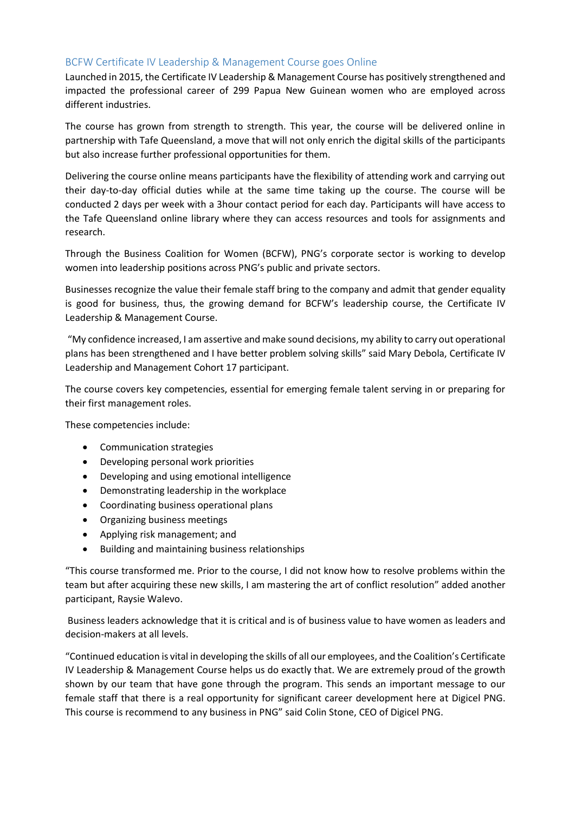## BCFW Certificate IV Leadership & Management Course goes Online

Launched in 2015, the Certificate IV Leadership & Management Course has positively strengthened and impacted the professional career of 299 Papua New Guinean women who are employed across different industries.

The course has grown from strength to strength. This year, the course will be delivered online in partnership with Tafe Queensland, a move that will not only enrich the digital skills of the participants but also increase further professional opportunities for them.

Delivering the course online means participants have the flexibility of attending work and carrying out their day-to-day official duties while at the same time taking up the course. The course will be conducted 2 days per week with a 3hour contact period for each day. Participants will have access to the Tafe Queensland online library where they can access resources and tools for assignments and research.

Through the Business Coalition for Women (BCFW), PNG's corporate sector is working to develop women into leadership positions across PNG's public and private sectors.

Businesses recognize the value their female staff bring to the company and admit that gender equality is good for business, thus, the growing demand for BCFW's leadership course, the Certificate IV Leadership & Management Course.

"My confidence increased, I am assertive and make sound decisions, my ability to carry out operational plans has been strengthened and I have better problem solving skills" said Mary Debola, Certificate IV Leadership and Management Cohort 17 participant.

The course covers key competencies, essential for emerging female talent serving in or preparing for their first management roles.

These competencies include:

- Communication strategies
- Developing personal work priorities
- Developing and using emotional intelligence
- Demonstrating leadership in the workplace
- Coordinating business operational plans
- Organizing business meetings
- Applying risk management; and
- Building and maintaining business relationships

"This course transformed me. Prior to the course, I did not know how to resolve problems within the team but after acquiring these new skills, I am mastering the art of conflict resolution" added another participant, Raysie Walevo.

Business leaders acknowledge that it is critical and is of business value to have women as leaders and decision-makers at all levels.

"Continued education is vital in developing the skills of all our employees, and the Coalition's Certificate IV Leadership & Management Course helps us do exactly that. We are extremely proud of the growth shown by our team that have gone through the program. This sends an important message to our female staff that there is a real opportunity for significant career development here at Digicel PNG. This course is recommend to any business in PNG" said Colin Stone, CEO of Digicel PNG.